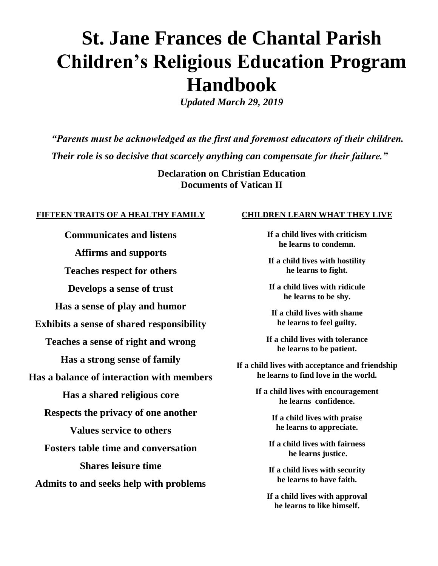# **St. Jane Frances de Chantal Parish Children's Religious Education Program Handbook**

*Updated March 29, 2019*

*"Parents must be acknowledged as the first and foremost educators of their children. Their role is so decisive that scarcely anything can compensate for their failure."*

> **Declaration on Christian Education Documents of Vatican II**

#### **FIFTEEN TRAITS OF A HEALTHY FAMILY**

**Communicates and listens Affirms and supports Teaches respect for others Develops a sense of trust Has a sense of play and humor Exhibits a sense of shared responsibility Teaches a sense of right and wrong Has a strong sense of family Has a balance of interaction with members Has a shared religious core Respects the privacy of one another Values service to others Fosters table time and conversation Shares leisure time Admits to and seeks help with problems**

#### **CHILDREN LEARN WHAT THEY LIVE**

**If a child lives with criticism he learns to condemn.**

**If a child lives with hostility he learns to fight.**

**If a child lives with ridicule he learns to be shy.**

**If a child lives with shame he learns to feel guilty.**

**If a child lives with tolerance he learns to be patient.**

**If a child lives with acceptance and friendship he learns to find love in the world.**

> **If a child lives with encouragement he learns confidence.**

> > **If a child lives with praise he learns to appreciate.**

**If a child lives with fairness he learns justice.**

**If a child lives with security he learns to have faith.**

**If a child lives with approval he learns to like himself.**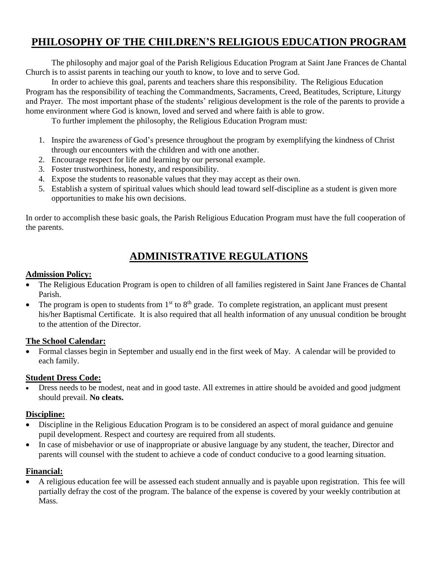# **PHILOSOPHY OF THE CHILDREN'S RELIGIOUS EDUCATION PROGRAM**

The philosophy and major goal of the Parish Religious Education Program at Saint Jane Frances de Chantal Church is to assist parents in teaching our youth to know, to love and to serve God.

In order to achieve this goal, parents and teachers share this responsibility. The Religious Education Program has the responsibility of teaching the Commandments, Sacraments, Creed, Beatitudes, Scripture, Liturgy and Prayer. The most important phase of the students' religious development is the role of the parents to provide a home environment where God is known, loved and served and where faith is able to grow.

To further implement the philosophy, the Religious Education Program must:

- 1. Inspire the awareness of God's presence throughout the program by exemplifying the kindness of Christ through our encounters with the children and with one another.
- 2. Encourage respect for life and learning by our personal example.
- 3. Foster trustworthiness, honesty, and responsibility.
- 4. Expose the students to reasonable values that they may accept as their own.
- 5. Establish a system of spiritual values which should lead toward self-discipline as a student is given more opportunities to make his own decisions.

In order to accomplish these basic goals, the Parish Religious Education Program must have the full cooperation of the parents.

# **ADMINISTRATIVE REGULATIONS**

#### **Admission Policy:**

- The Religious Education Program is open to children of all families registered in Saint Jane Frances de Chantal Parish.
- The program is open to students from  $1<sup>st</sup>$  to  $8<sup>th</sup>$  grade. To complete registration, an applicant must present his/her Baptismal Certificate. It is also required that all health information of any unusual condition be brought to the attention of the Director.

### **The School Calendar:**

 Formal classes begin in September and usually end in the first week of May. A calendar will be provided to each family.

#### **Student Dress Code:**

 Dress needs to be modest, neat and in good taste. All extremes in attire should be avoided and good judgment should prevail. **No cleats.**

### **Discipline:**

- Discipline in the Religious Education Program is to be considered an aspect of moral guidance and genuine pupil development. Respect and courtesy are required from all students.
- In case of misbehavior or use of inappropriate or abusive language by any student, the teacher, Director and parents will counsel with the student to achieve a code of conduct conducive to a good learning situation.

### **Financial:**

 A religious education fee will be assessed each student annually and is payable upon registration. This fee will partially defray the cost of the program. The balance of the expense is covered by your weekly contribution at Mass.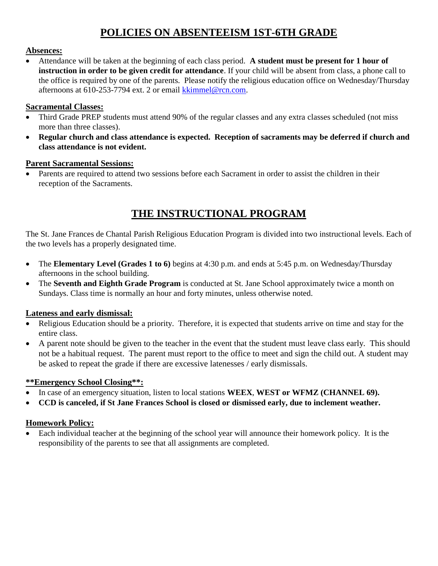# **POLICIES ON ABSENTEEISM 1ST-6TH GRADE**

### **Absences:**

 Attendance will be taken at the beginning of each class period. **A student must be present for 1 hour of instruction in order to be given credit for attendance**. If your child will be absent from class, a phone call to the office is required by one of the parents. Please notify the religious education office on Wednesday/Thursday afternoons at 610-253-7794 ext. 2 or email [kkimmel@rcn.com.](mailto:kkimmel@rcn.com)

### **Sacramental Classes:**

- Third Grade PREP students must attend 90% of the regular classes and any extra classes scheduled (not miss more than three classes).
- **Regular church and class attendance is expected. Reception of sacraments may be deferred if church and class attendance is not evident.**

### **Parent Sacramental Sessions:**

• Parents are required to attend two sessions before each Sacrament in order to assist the children in their reception of the Sacraments.

# **THE INSTRUCTIONAL PROGRAM**

The St. Jane Frances de Chantal Parish Religious Education Program is divided into two instructional levels. Each of the two levels has a properly designated time.

- The **Elementary Level (Grades 1 to 6)** begins at 4:30 p.m. and ends at 5:45 p.m. on Wednesday/Thursday afternoons in the school building.
- The **Seventh and Eighth Grade Program** is conducted at St. Jane School approximately twice a month on Sundays. Class time is normally an hour and forty minutes, unless otherwise noted.

# **Lateness and early dismissal:**

- Religious Education should be a priority. Therefore, it is expected that students arrive on time and stay for the entire class.
- A parent note should be given to the teacher in the event that the student must leave class early. This should not be a habitual request. The parent must report to the office to meet and sign the child out. A student may be asked to repeat the grade if there are excessive latenesses / early dismissals.

# **\*\*Emergency School Closing\*\*:**

- In case of an emergency situation, listen to local stations **WEEX**, **WEST or WFMZ (CHANNEL 69).**
- **CCD is canceled, if St Jane Frances School is closed or dismissed early, due to inclement weather.**

# **Homework Policy:**

 Each individual teacher at the beginning of the school year will announce their homework policy. It is the responsibility of the parents to see that all assignments are completed.